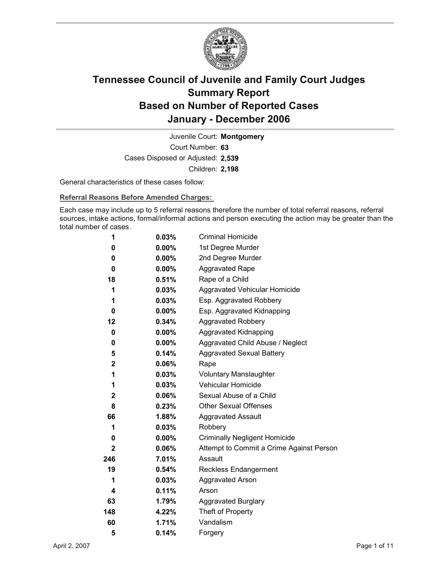

Court Number: **63** Juvenile Court: **Montgomery** Cases Disposed or Adjusted: **2,539** Children: **2,198**

General characteristics of these cases follow:

**Referral Reasons Before Amended Charges:** 

Each case may include up to 5 referral reasons therefore the number of total referral reasons, referral sources, intake actions, formal/informal actions and person executing the action may be greater than the total number of cases.

| 1            | 0.03%    | <b>Criminal Homicide</b>                 |
|--------------|----------|------------------------------------------|
| 0            | $0.00\%$ | 1st Degree Murder                        |
| 0            | $0.00\%$ | 2nd Degree Murder                        |
| 0            | $0.00\%$ | <b>Aggravated Rape</b>                   |
| 18           | 0.51%    | Rape of a Child                          |
| 1            | $0.03\%$ | Aggravated Vehicular Homicide            |
| 1            | $0.03\%$ | Esp. Aggravated Robbery                  |
| 0            | $0.00\%$ | Esp. Aggravated Kidnapping               |
| 12           | 0.34%    | <b>Aggravated Robbery</b>                |
| 0            | $0.00\%$ | Aggravated Kidnapping                    |
| 0            | $0.00\%$ | Aggravated Child Abuse / Neglect         |
| 5            | 0.14%    | <b>Aggravated Sexual Battery</b>         |
| $\mathbf 2$  | 0.06%    | Rape                                     |
| 1            | $0.03\%$ | <b>Voluntary Manslaughter</b>            |
| 1            | 0.03%    | <b>Vehicular Homicide</b>                |
| 2            | 0.06%    | Sexual Abuse of a Child                  |
| 8            | 0.23%    | <b>Other Sexual Offenses</b>             |
| 66           | 1.88%    | <b>Aggravated Assault</b>                |
| 1            | 0.03%    | Robbery                                  |
| 0            | $0.00\%$ | <b>Criminally Negligent Homicide</b>     |
| $\mathbf{2}$ | 0.06%    | Attempt to Commit a Crime Against Person |
| 246          | $7.01\%$ | Assault                                  |
| 19           | 0.54%    | <b>Reckless Endangerment</b>             |
| 1            | 0.03%    | <b>Aggravated Arson</b>                  |
| 4            | 0.11%    | Arson                                    |
| 63           | 1.79%    | <b>Aggravated Burglary</b>               |
| 148          | 4.22%    | Theft of Property                        |
| 60           | 1.71%    | Vandalism                                |
| 5            | 0.14%    | Forgery                                  |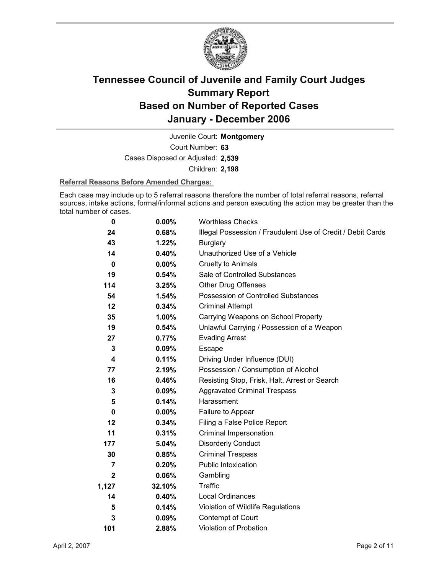

Court Number: **63** Juvenile Court: **Montgomery** Cases Disposed or Adjusted: **2,539** Children: **2,198**

#### **Referral Reasons Before Amended Charges:**

Each case may include up to 5 referral reasons therefore the number of total referral reasons, referral sources, intake actions, formal/informal actions and person executing the action may be greater than the total number of cases.

| 0              | 0.00%    | <b>Worthless Checks</b>                                     |
|----------------|----------|-------------------------------------------------------------|
| 24             | 0.68%    | Illegal Possession / Fraudulent Use of Credit / Debit Cards |
| 43             | 1.22%    | Burglary                                                    |
| 14             | 0.40%    | Unauthorized Use of a Vehicle                               |
| $\bf{0}$       | $0.00\%$ | <b>Cruelty to Animals</b>                                   |
| 19             | 0.54%    | Sale of Controlled Substances                               |
| 114            | 3.25%    | <b>Other Drug Offenses</b>                                  |
| 54             | 1.54%    | Possession of Controlled Substances                         |
| 12             | 0.34%    | <b>Criminal Attempt</b>                                     |
| 35             | 1.00%    | Carrying Weapons on School Property                         |
| 19             | 0.54%    | Unlawful Carrying / Possession of a Weapon                  |
| 27             | 0.77%    | <b>Evading Arrest</b>                                       |
| 3              | $0.09\%$ | <b>Escape</b>                                               |
| 4              | 0.11%    | Driving Under Influence (DUI)                               |
| 77             | 2.19%    | Possession / Consumption of Alcohol                         |
| 16             | 0.46%    | Resisting Stop, Frisk, Halt, Arrest or Search               |
| 3              | $0.09\%$ | <b>Aggravated Criminal Trespass</b>                         |
| 5              | 0.14%    | Harassment                                                  |
| 0              | $0.00\%$ | Failure to Appear                                           |
| 12             | 0.34%    | Filing a False Police Report                                |
| 11             | 0.31%    | Criminal Impersonation                                      |
| 177            | 5.04%    | <b>Disorderly Conduct</b>                                   |
| 30             | 0.85%    | <b>Criminal Trespass</b>                                    |
| $\overline{7}$ | 0.20%    | <b>Public Intoxication</b>                                  |
| $\mathbf{2}$   | $0.06\%$ | Gambling                                                    |
| 1,127          | 32.10%   | <b>Traffic</b>                                              |
| 14             | 0.40%    | <b>Local Ordinances</b>                                     |
| 5              | 0.14%    | Violation of Wildlife Regulations                           |
| 3              | 0.09%    | Contempt of Court                                           |
| 101            | 2.88%    | <b>Violation of Probation</b>                               |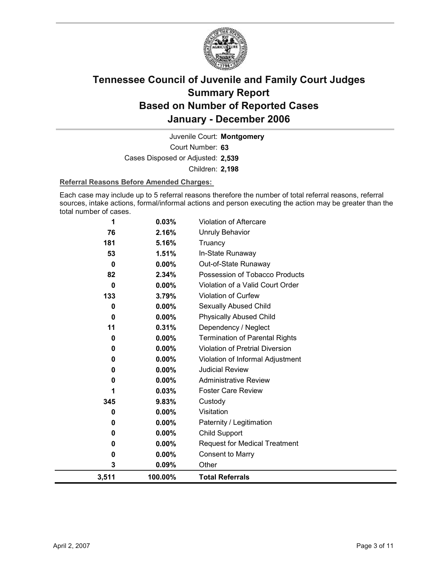

Court Number: **63** Juvenile Court: **Montgomery** Cases Disposed or Adjusted: **2,539** Children: **2,198**

#### **Referral Reasons Before Amended Charges:**

Each case may include up to 5 referral reasons therefore the number of total referral reasons, referral sources, intake actions, formal/informal actions and person executing the action may be greater than the total number of cases.

| 1     | 0.03%    | <b>Violation of Aftercare</b>          |
|-------|----------|----------------------------------------|
| 76    | 2.16%    | <b>Unruly Behavior</b>                 |
| 181   | 5.16%    | Truancy                                |
| 53    | 1.51%    | In-State Runaway                       |
| 0     | $0.00\%$ | Out-of-State Runaway                   |
| 82    | 2.34%    | Possession of Tobacco Products         |
| 0     | $0.00\%$ | Violation of a Valid Court Order       |
| 133   | 3.79%    | Violation of Curfew                    |
| 0     | 0.00%    | Sexually Abused Child                  |
| 0     | $0.00\%$ | <b>Physically Abused Child</b>         |
| 11    | 0.31%    | Dependency / Neglect                   |
| 0     | 0.00%    | <b>Termination of Parental Rights</b>  |
| 0     | 0.00%    | <b>Violation of Pretrial Diversion</b> |
| 0     | 0.00%    | Violation of Informal Adjustment       |
| 0     | 0.00%    | <b>Judicial Review</b>                 |
| 0     | 0.00%    | <b>Administrative Review</b>           |
| 1     | 0.03%    | <b>Foster Care Review</b>              |
| 345   | 9.83%    | Custody                                |
| 0     | $0.00\%$ | Visitation                             |
| 0     | 0.00%    | Paternity / Legitimation               |
| 0     | $0.00\%$ | Child Support                          |
| 0     | $0.00\%$ | <b>Request for Medical Treatment</b>   |
| 0     | $0.00\%$ | <b>Consent to Marry</b>                |
| 3     | 0.09%    | Other                                  |
| 3,511 | 100.00%  | <b>Total Referrals</b>                 |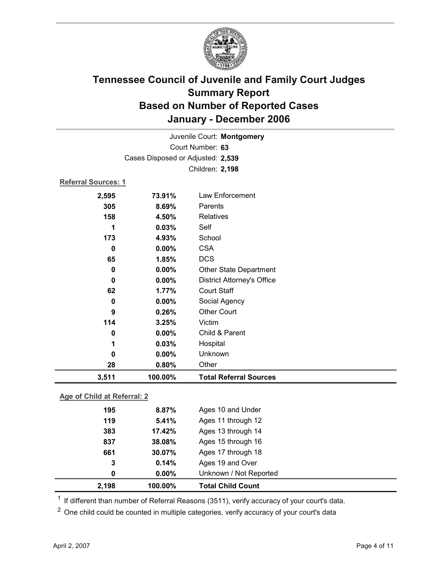

| Juvenile Court: Montgomery        |                 |                                   |  |  |
|-----------------------------------|-----------------|-----------------------------------|--|--|
| Court Number: 63                  |                 |                                   |  |  |
| Cases Disposed or Adjusted: 2,539 |                 |                                   |  |  |
|                                   | Children: 2,198 |                                   |  |  |
| <b>Referral Sources: 1</b>        |                 |                                   |  |  |
| 2,595                             | 73.91%          | Law Enforcement                   |  |  |
| 305                               | 8.69%           | Parents                           |  |  |
| 158                               | 4.50%           | <b>Relatives</b>                  |  |  |
| 1                                 | 0.03%           | Self                              |  |  |
| 173                               | 4.93%           | School                            |  |  |
| $\mathbf 0$                       | 0.00%           | <b>CSA</b>                        |  |  |
| 65                                | 1.85%           | <b>DCS</b>                        |  |  |
| $\mathbf 0$                       | 0.00%           | <b>Other State Department</b>     |  |  |
| 0                                 | 0.00%           | <b>District Attorney's Office</b> |  |  |
| 62                                | 1.77%           | <b>Court Staff</b>                |  |  |
| $\pmb{0}$                         | 0.00%           | Social Agency                     |  |  |
| 9                                 | 0.26%           | <b>Other Court</b>                |  |  |
| 114                               | 3.25%           | Victim                            |  |  |
| $\mathbf 0$                       | 0.00%           | Child & Parent                    |  |  |
| 1                                 | 0.03%           | Hospital                          |  |  |
| $\mathbf 0$                       | 0.00%           | Unknown                           |  |  |
| 28                                | 0.80%           | Other                             |  |  |
| 3,511                             | 100.00%         | <b>Total Referral Sources</b>     |  |  |
| Age of Child at Referral: 2       |                 |                                   |  |  |
| 195                               | 8.87%           | Ages 10 and Under                 |  |  |
| 119                               | 5.41%           | Ages 11 through 12                |  |  |
| 383                               | 17.42%          | Ages 13 through 14                |  |  |
| 837                               | 38.08%          | Ages 15 through 16                |  |  |
| 661                               | 30.07%          | Ages 17 through 18                |  |  |
| 3                                 | 0.14%           | Ages 19 and Over                  |  |  |

 $1$  If different than number of Referral Reasons (3511), verify accuracy of your court's data.

<sup>2</sup> One child could be counted in multiple categories, verify accuracy of your court's data

**0 0.00%** Unknown / Not Reported

**2,198 100.00% Total Child Count**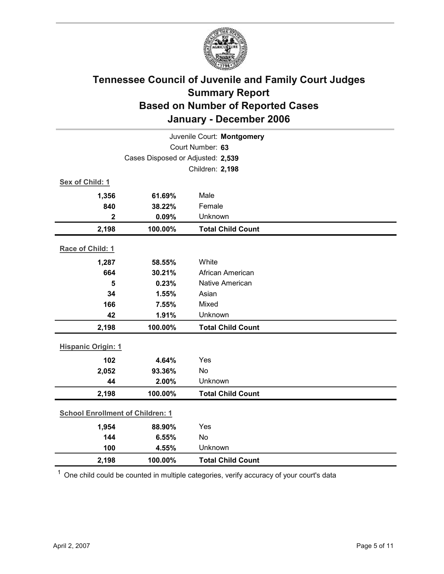

| Juvenile Court: Montgomery              |                                   |                          |  |  |
|-----------------------------------------|-----------------------------------|--------------------------|--|--|
| Court Number: 63                        |                                   |                          |  |  |
|                                         | Cases Disposed or Adjusted: 2,539 |                          |  |  |
|                                         |                                   | Children: 2,198          |  |  |
| Sex of Child: 1                         |                                   |                          |  |  |
| 1,356                                   | 61.69%                            | Male                     |  |  |
| 840                                     | 38.22%                            | Female                   |  |  |
| $\mathbf 2$                             | 0.09%                             | Unknown                  |  |  |
| 2,198                                   | 100.00%                           | <b>Total Child Count</b> |  |  |
| Race of Child: 1                        |                                   |                          |  |  |
| 1,287                                   | 58.55%                            | White                    |  |  |
| 664                                     | 30.21%                            | African American         |  |  |
| 5                                       | 0.23%                             | Native American          |  |  |
| 34                                      | 1.55%                             | Asian                    |  |  |
| 166                                     | 7.55%                             | Mixed                    |  |  |
| 42                                      | 1.91%                             | Unknown                  |  |  |
| 2,198                                   | 100.00%                           | <b>Total Child Count</b> |  |  |
| <b>Hispanic Origin: 1</b>               |                                   |                          |  |  |
| 102                                     | 4.64%                             | Yes                      |  |  |
| 2,052                                   | 93.36%                            | No                       |  |  |
| 44                                      | 2.00%                             | Unknown                  |  |  |
| 2,198                                   | 100.00%                           | <b>Total Child Count</b> |  |  |
| <b>School Enrollment of Children: 1</b> |                                   |                          |  |  |
| 1,954                                   | 88.90%                            | Yes                      |  |  |
| 144                                     | 6.55%                             | No                       |  |  |
| 100                                     | 4.55%                             | Unknown                  |  |  |
| 2,198                                   | 100.00%                           | <b>Total Child Count</b> |  |  |

 $1$  One child could be counted in multiple categories, verify accuracy of your court's data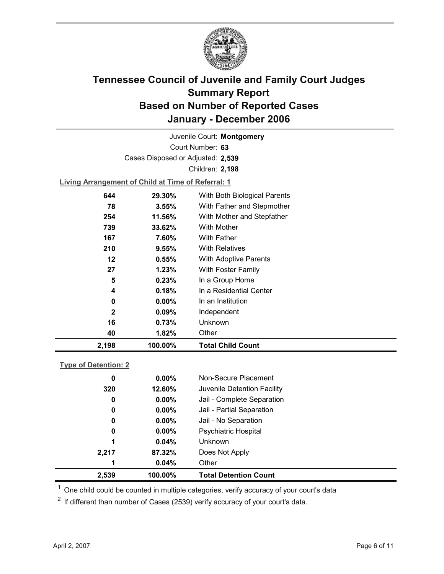

Court Number: **63** Juvenile Court: **Montgomery** Cases Disposed or Adjusted: **2,539** Children: **2,198**

**Living Arrangement of Child at Time of Referral: 1**

| 2,198        | 100.00%  | <b>Total Child Count</b>     |
|--------------|----------|------------------------------|
| 40           | 1.82%    | Other                        |
| 16           | 0.73%    | Unknown                      |
| $\mathbf{2}$ | $0.09\%$ | Independent                  |
| 0            | $0.00\%$ | In an Institution            |
| 4            | 0.18%    | In a Residential Center      |
| 5            | 0.23%    | In a Group Home              |
| 27           | 1.23%    | With Foster Family           |
| 12           | 0.55%    | <b>With Adoptive Parents</b> |
| 210          | 9.55%    | <b>With Relatives</b>        |
| 167          | 7.60%    | <b>With Father</b>           |
| 739          | 33.62%   | With Mother                  |
| 254          | 11.56%   | With Mother and Stepfather   |
| 78           | 3.55%    | With Father and Stepmother   |
| 644          | 29.30%   | With Both Biological Parents |
|              |          |                              |

### **Type of Detention: 2**

| 2,539 | 100.00%  | <b>Total Detention Count</b> |
|-------|----------|------------------------------|
| 1     | 0.04%    | Other                        |
| 2,217 | 87.32%   | Does Not Apply               |
| 1     | 0.04%    | <b>Unknown</b>               |
| 0     | $0.00\%$ | Psychiatric Hospital         |
| 0     | $0.00\%$ | Jail - No Separation         |
| 0     | $0.00\%$ | Jail - Partial Separation    |
| 0     | $0.00\%$ | Jail - Complete Separation   |
| 320   | 12.60%   | Juvenile Detention Facility  |
| 0     | $0.00\%$ | Non-Secure Placement         |
|       |          |                              |

 $<sup>1</sup>$  One child could be counted in multiple categories, verify accuracy of your court's data</sup>

 $2$  If different than number of Cases (2539) verify accuracy of your court's data.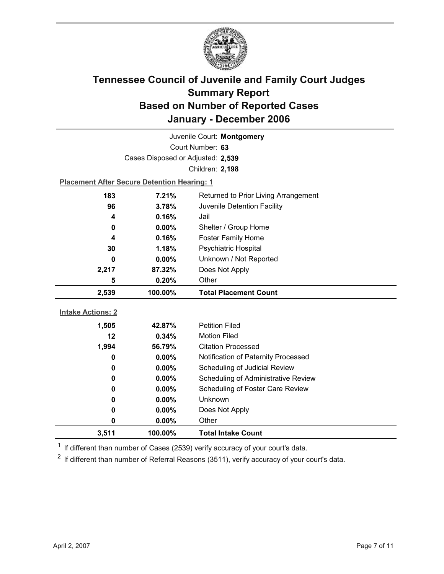

| Juvenile Court: Montgomery |                                                    |                                      |  |  |
|----------------------------|----------------------------------------------------|--------------------------------------|--|--|
|                            | Court Number: 63                                   |                                      |  |  |
|                            | Cases Disposed or Adjusted: 2,539                  |                                      |  |  |
|                            |                                                    | Children: 2,198                      |  |  |
|                            | <b>Placement After Secure Detention Hearing: 1</b> |                                      |  |  |
| 183                        | 7.21%                                              | Returned to Prior Living Arrangement |  |  |
| 96                         | 3.78%                                              | Juvenile Detention Facility          |  |  |
| 4                          | 0.16%                                              | Jail                                 |  |  |
| 0                          | 0.00%                                              | Shelter / Group Home                 |  |  |
| 4                          | 0.16%                                              | <b>Foster Family Home</b>            |  |  |
| 30                         | 1.18%                                              | Psychiatric Hospital                 |  |  |
| 0                          | 0.00%                                              | Unknown / Not Reported               |  |  |
| 2,217                      | 87.32%                                             | Does Not Apply                       |  |  |
| 5                          | 0.20%                                              | Other                                |  |  |
|                            |                                                    |                                      |  |  |
| 2,539                      | 100.00%                                            | <b>Total Placement Count</b>         |  |  |
|                            |                                                    |                                      |  |  |
| <b>Intake Actions: 2</b>   |                                                    |                                      |  |  |
| 1,505                      | 42.87%                                             | <b>Petition Filed</b>                |  |  |
| 12                         | 0.34%                                              | <b>Motion Filed</b>                  |  |  |
| 1,994                      | 56.79%                                             | <b>Citation Processed</b>            |  |  |
| 0                          | $0.00\%$                                           | Notification of Paternity Processed  |  |  |
| 0                          | 0.00%                                              | Scheduling of Judicial Review        |  |  |
| 0                          | 0.00%                                              | Scheduling of Administrative Review  |  |  |
| 0                          | $0.00\%$                                           | Scheduling of Foster Care Review     |  |  |
| 0                          | $0.00\%$                                           | Unknown                              |  |  |
| $\mathbf 0$                | 0.00%                                              | Does Not Apply                       |  |  |
| 0<br>3,511                 | 0.00%<br>100.00%                                   | Other<br><b>Total Intake Count</b>   |  |  |

 $1$  If different than number of Cases (2539) verify accuracy of your court's data.

 $2$  If different than number of Referral Reasons (3511), verify accuracy of your court's data.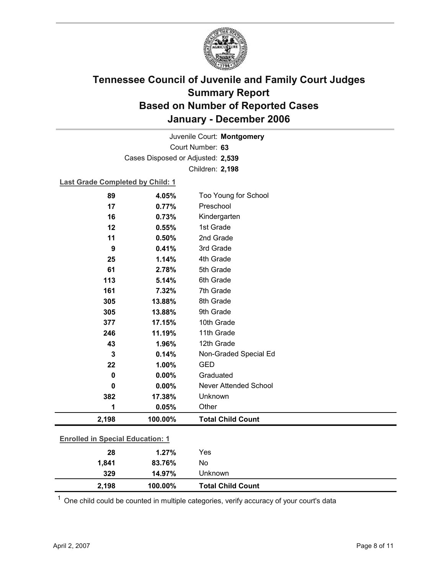

Court Number: **63** Juvenile Court: **Montgomery** Cases Disposed or Adjusted: **2,539** Children: **2,198**

### **Last Grade Completed by Child: 1**

| 89                                      | 4.05%   | Too Young for School     |  |
|-----------------------------------------|---------|--------------------------|--|
| 17                                      | 0.77%   | Preschool                |  |
| 16                                      | 0.73%   | Kindergarten             |  |
| 12                                      | 0.55%   | 1st Grade                |  |
| 11                                      | 0.50%   | 2nd Grade                |  |
| 9                                       | 0.41%   | 3rd Grade                |  |
| 25                                      | 1.14%   | 4th Grade                |  |
| 61                                      | 2.78%   | 5th Grade                |  |
| 113                                     | 5.14%   | 6th Grade                |  |
| 161                                     | 7.32%   | 7th Grade                |  |
| 305                                     | 13.88%  | 8th Grade                |  |
| 305                                     | 13.88%  | 9th Grade                |  |
| 377                                     | 17.15%  | 10th Grade               |  |
| 246                                     | 11.19%  | 11th Grade               |  |
| 43                                      | 1.96%   | 12th Grade               |  |
| 3                                       | 0.14%   | Non-Graded Special Ed    |  |
| 22                                      | 1.00%   | <b>GED</b>               |  |
| $\mathbf 0$                             | 0.00%   | Graduated                |  |
| 0                                       | 0.00%   | Never Attended School    |  |
| 382                                     | 17.38%  | Unknown                  |  |
| 1                                       | 0.05%   | Other                    |  |
| 2,198                                   | 100.00% | <b>Total Child Count</b> |  |
| <b>Enrolled in Special Education: 1</b> |         |                          |  |
| 28                                      | 1.27%   | Yes                      |  |
|                                         | 83.76%  | No                       |  |
| 1,841                                   |         |                          |  |
| 329                                     | 14.97%  | Unknown                  |  |

 $1$  One child could be counted in multiple categories, verify accuracy of your court's data

**2,198 100.00% Total Child Count**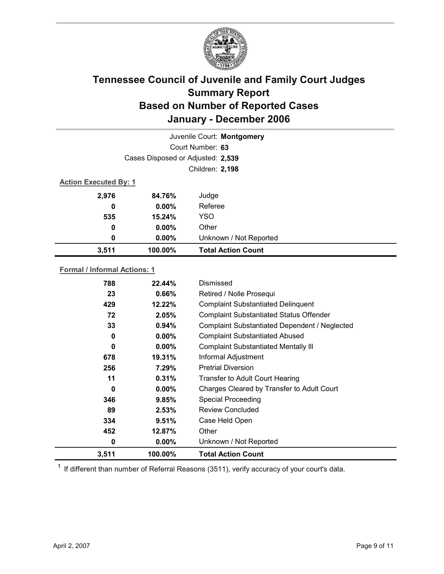

|                              |                                   | Juvenile Court: Montgomery |  |
|------------------------------|-----------------------------------|----------------------------|--|
|                              |                                   | Court Number: 63           |  |
|                              | Cases Disposed or Adjusted: 2,539 |                            |  |
|                              |                                   | Children: 2,198            |  |
| <b>Action Executed By: 1</b> |                                   |                            |  |
| 2,976                        | 84.76%                            | Judge                      |  |
| 0                            | $0.00\%$                          | Referee                    |  |
| 535                          | 15.24%                            | <b>YSO</b>                 |  |
| 0                            | $0.00\%$                          | Other                      |  |
| 0                            | $0.00\%$                          | Unknown / Not Reported     |  |
| 3,511                        | 100.00%                           | <b>Total Action Count</b>  |  |

### **Formal / Informal Actions: 1**

| 788      | 22.44%   | Dismissed                                      |
|----------|----------|------------------------------------------------|
| 23       | 0.66%    | Retired / Nolle Prosequi                       |
| 429      | 12.22%   | <b>Complaint Substantiated Delinquent</b>      |
| 72       | 2.05%    | <b>Complaint Substantiated Status Offender</b> |
| 33       | 0.94%    | Complaint Substantiated Dependent / Neglected  |
| 0        | $0.00\%$ | <b>Complaint Substantiated Abused</b>          |
| 0        | $0.00\%$ | <b>Complaint Substantiated Mentally III</b>    |
| 678      | 19.31%   | Informal Adjustment                            |
| 256      | 7.29%    | <b>Pretrial Diversion</b>                      |
| 11       | 0.31%    | <b>Transfer to Adult Court Hearing</b>         |
| $\bf{0}$ | $0.00\%$ | Charges Cleared by Transfer to Adult Court     |
| 346      | 9.85%    | Special Proceeding                             |
| 89       | 2.53%    | <b>Review Concluded</b>                        |
| 334      | 9.51%    | Case Held Open                                 |
| 452      | 12.87%   | Other                                          |
| 0        | $0.00\%$ | Unknown / Not Reported                         |
| 3,511    | 100.00%  | <b>Total Action Count</b>                      |

 $1$  If different than number of Referral Reasons (3511), verify accuracy of your court's data.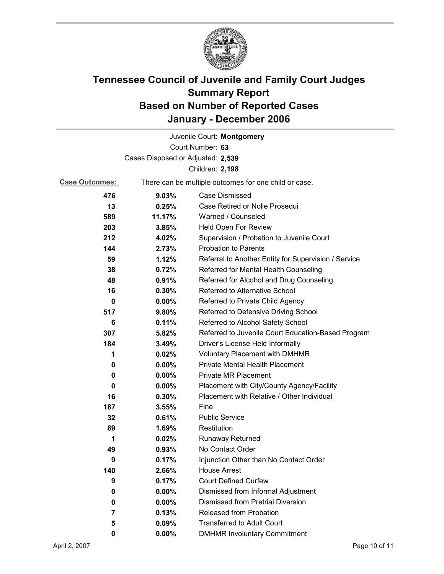

|                       |                                   | Juvenile Court: Montgomery                            |  |
|-----------------------|-----------------------------------|-------------------------------------------------------|--|
|                       | Court Number: 63                  |                                                       |  |
|                       | Cases Disposed or Adjusted: 2,539 |                                                       |  |
|                       |                                   | Children: 2,198                                       |  |
| <b>Case Outcomes:</b> |                                   | There can be multiple outcomes for one child or case. |  |
| 476                   | 9.03%                             | Case Dismissed                                        |  |
| 13                    | 0.25%                             | Case Retired or Nolle Prosequi                        |  |
| 589                   | 11.17%                            | Warned / Counseled                                    |  |
| 203                   | 3.85%                             | Held Open For Review                                  |  |
| 212                   | 4.02%                             | Supervision / Probation to Juvenile Court             |  |
| 144                   | 2.73%                             | <b>Probation to Parents</b>                           |  |
| 59                    | 1.12%                             | Referral to Another Entity for Supervision / Service  |  |
| 38                    | 0.72%                             | Referred for Mental Health Counseling                 |  |
| 48                    | 0.91%                             | Referred for Alcohol and Drug Counseling              |  |
| 16                    | 0.30%                             | <b>Referred to Alternative School</b>                 |  |
| 0                     | $0.00\%$                          | Referred to Private Child Agency                      |  |
| 517                   | 9.80%                             | Referred to Defensive Driving School                  |  |
| 6                     | 0.11%                             | Referred to Alcohol Safety School                     |  |
| 307                   | 5.82%                             | Referred to Juvenile Court Education-Based Program    |  |
| 184                   | 3.49%                             | Driver's License Held Informally                      |  |
| 1                     | 0.02%                             | <b>Voluntary Placement with DMHMR</b>                 |  |
| 0                     | 0.00%                             | <b>Private Mental Health Placement</b>                |  |
| 0                     | 0.00%                             | <b>Private MR Placement</b>                           |  |
| 0                     | $0.00\%$                          | Placement with City/County Agency/Facility            |  |
| 16                    | 0.30%                             | Placement with Relative / Other Individual            |  |
| 187                   | 3.55%                             | Fine                                                  |  |
| 32                    | 0.61%                             | <b>Public Service</b>                                 |  |
| 89                    | 1.69%                             | Restitution                                           |  |
| 1                     | 0.02%                             | <b>Runaway Returned</b>                               |  |
| 49                    | 0.93%                             | No Contact Order                                      |  |
| 9                     | 0.17%                             | Injunction Other than No Contact Order                |  |
| 140                   | 2.66%                             | <b>House Arrest</b>                                   |  |
| 9                     | 0.17%                             | <b>Court Defined Curfew</b>                           |  |
| 0                     | 0.00%                             | Dismissed from Informal Adjustment                    |  |
| 0                     | $0.00\%$                          | <b>Dismissed from Pretrial Diversion</b>              |  |
| 7                     | 0.13%                             | Released from Probation                               |  |
| 5                     | 0.09%                             | <b>Transferred to Adult Court</b>                     |  |
| 0                     | 0.00%                             | <b>DMHMR Involuntary Commitment</b>                   |  |